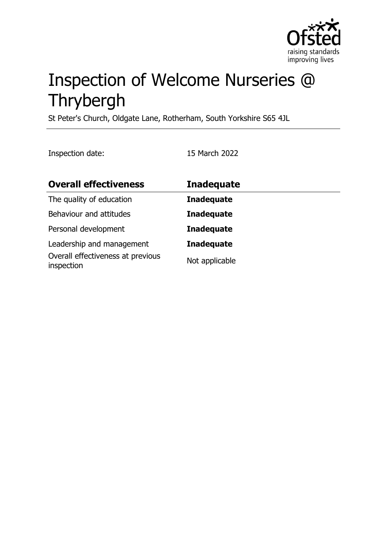

# Inspection of Welcome Nurseries @ Thrybergh

St Peter's Church, Oldgate Lane, Rotherham, South Yorkshire S65 4JL

Inspection date: 15 March 2022

| <b>Overall effectiveness</b>                    | <b>Inadequate</b> |
|-------------------------------------------------|-------------------|
| The quality of education                        | <b>Inadequate</b> |
| Behaviour and attitudes                         | <b>Inadequate</b> |
| Personal development                            | <b>Inadequate</b> |
| Leadership and management                       | <b>Inadequate</b> |
| Overall effectiveness at previous<br>inspection | Not applicable    |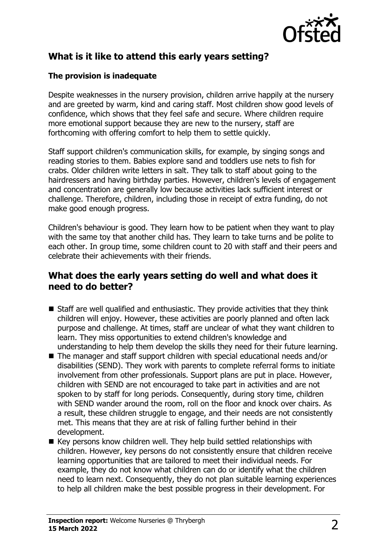

# **What is it like to attend this early years setting?**

## **The provision is inadequate**

Despite weaknesses in the nursery provision, children arrive happily at the nursery and are greeted by warm, kind and caring staff. Most children show good levels of confidence, which shows that they feel safe and secure. Where children require more emotional support because they are new to the nursery, staff are forthcoming with offering comfort to help them to settle quickly.

Staff support children's communication skills, for example, by singing songs and reading stories to them. Babies explore sand and toddlers use nets to fish for crabs. Older children write letters in salt. They talk to staff about going to the hairdressers and having birthday parties. However, children's levels of engagement and concentration are generally low because activities lack sufficient interest or challenge. Therefore, children, including those in receipt of extra funding, do not make good enough progress.

Children's behaviour is good. They learn how to be patient when they want to play with the same toy that another child has. They learn to take turns and be polite to each other. In group time, some children count to 20 with staff and their peers and celebrate their achievements with their friends.

# **What does the early years setting do well and what does it need to do better?**

- $\blacksquare$  Staff are well qualified and enthusiastic. They provide activities that they think children will enjoy. However, these activities are poorly planned and often lack purpose and challenge. At times, staff are unclear of what they want children to learn. They miss opportunities to extend children's knowledge and understanding to help them develop the skills they need for their future learning.
- $\blacksquare$  The manager and staff support children with special educational needs and/or disabilities (SEND). They work with parents to complete referral forms to initiate involvement from other professionals. Support plans are put in place. However, children with SEND are not encouraged to take part in activities and are not spoken to by staff for long periods. Consequently, during story time, children with SEND wander around the room, roll on the floor and knock over chairs. As a result, these children struggle to engage, and their needs are not consistently met. This means that they are at risk of falling further behind in their development.
- $\blacksquare$  Key persons know children well. They help build settled relationships with children. However, key persons do not consistently ensure that children receive learning opportunities that are tailored to meet their individual needs. For example, they do not know what children can do or identify what the children need to learn next. Consequently, they do not plan suitable learning experiences to help all children make the best possible progress in their development. For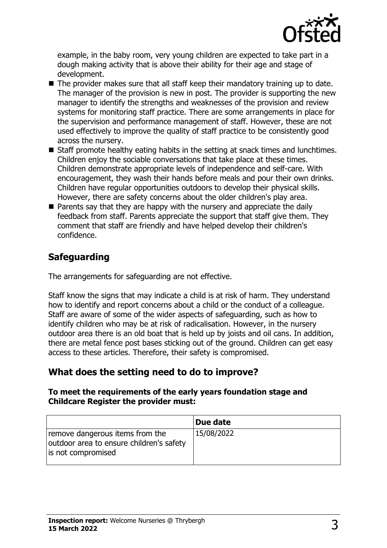

example, in the baby room, very young children are expected to take part in a dough making activity that is above their ability for their age and stage of development.

- $\blacksquare$  The provider makes sure that all staff keep their mandatory training up to date. The manager of the provision is new in post. The provider is supporting the new manager to identify the strengths and weaknesses of the provision and review systems for monitoring staff practice. There are some arrangements in place for the supervision and performance management of staff. However, these are not used effectively to improve the quality of staff practice to be consistently good across the nursery.
- $\blacksquare$  Staff promote healthy eating habits in the setting at snack times and lunchtimes. Children enjoy the sociable conversations that take place at these times. Children demonstrate appropriate levels of independence and self-care. With encouragement, they wash their hands before meals and pour their own drinks. Children have regular opportunities outdoors to develop their physical skills. However, there are safety concerns about the older children's play area.
- $\blacksquare$  Parents say that they are happy with the nursery and appreciate the daily feedback from staff. Parents appreciate the support that staff give them. They comment that staff are friendly and have helped develop their children's confidence.

# **Safeguarding**

The arrangements for safeguarding are not effective.

Staff know the signs that may indicate a child is at risk of harm. They understand how to identify and report concerns about a child or the conduct of a colleague. Staff are aware of some of the wider aspects of safeguarding, such as how to identify children who may be at risk of radicalisation. However, in the nursery outdoor area there is an old boat that is held up by joists and oil cans. In addition, there are metal fence post bases sticking out of the ground. Children can get easy access to these articles. Therefore, their safety is compromised.

# **What does the setting need to do to improve?**

#### **To meet the requirements of the early years foundation stage and Childcare Register the provider must:**

|                                                                                                   | Due date   |
|---------------------------------------------------------------------------------------------------|------------|
| remove dangerous items from the<br>outdoor area to ensure children's safety<br>is not compromised | 15/08/2022 |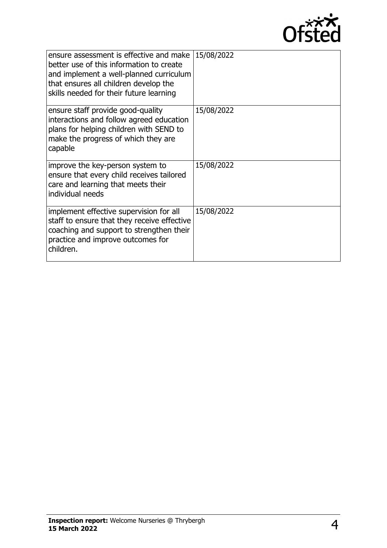

| ensure assessment is effective and make<br>better use of this information to create<br>and implement a well-planned curriculum<br>that ensures all children develop the<br>skills needed for their future learning | 15/08/2022 |
|--------------------------------------------------------------------------------------------------------------------------------------------------------------------------------------------------------------------|------------|
| ensure staff provide good-quality<br>interactions and follow agreed education<br>plans for helping children with SEND to<br>make the progress of which they are<br>capable                                         | 15/08/2022 |
| improve the key-person system to<br>ensure that every child receives tailored<br>care and learning that meets their<br>individual needs                                                                            | 15/08/2022 |
| implement effective supervision for all<br>staff to ensure that they receive effective<br>coaching and support to strengthen their<br>practice and improve outcomes for<br>children.                               | 15/08/2022 |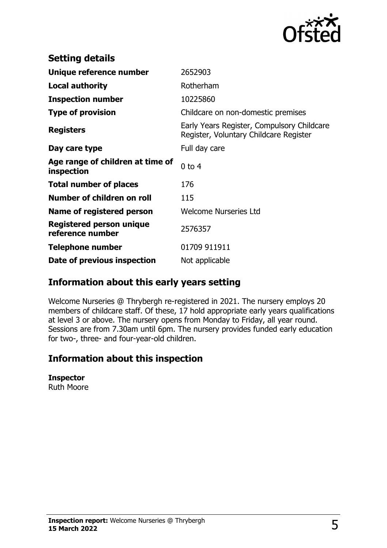

| <b>Setting details</b>                         |                                                                                      |
|------------------------------------------------|--------------------------------------------------------------------------------------|
| Unique reference number                        | 2652903                                                                              |
| <b>Local authority</b>                         | Rotherham                                                                            |
| <b>Inspection number</b>                       | 10225860                                                                             |
| <b>Type of provision</b>                       | Childcare on non-domestic premises                                                   |
| <b>Registers</b>                               | Early Years Register, Compulsory Childcare<br>Register, Voluntary Childcare Register |
| Day care type                                  | Full day care                                                                        |
| Age range of children at time of<br>inspection | $0$ to $4$                                                                           |
| <b>Total number of places</b>                  | 176                                                                                  |
| Number of children on roll                     | 115                                                                                  |
| Name of registered person                      | <b>Welcome Nurseries Ltd</b>                                                         |
| Registered person unique<br>reference number   | 2576357                                                                              |
| Telephone number                               | 01709 911911                                                                         |
| Date of previous inspection                    | Not applicable                                                                       |

# **Information about this early years setting**

Welcome Nurseries @ Thrybergh re-registered in 2021. The nursery employs 20 members of childcare staff. Of these, 17 hold appropriate early years qualifications at level 3 or above. The nursery opens from Monday to Friday, all year round. Sessions are from 7.30am until 6pm. The nursery provides funded early education for two-, three- and four-year-old children.

# **Information about this inspection**

#### **Inspector**

Ruth Moore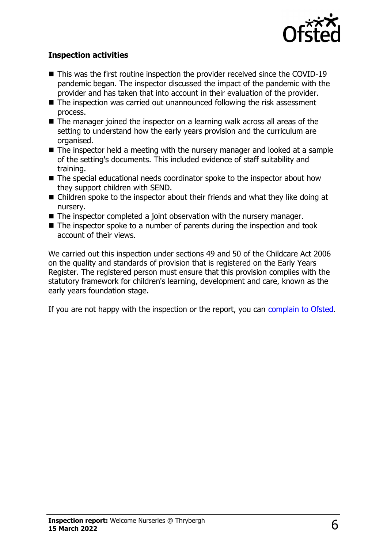

### **Inspection activities**

- $\blacksquare$  This was the first routine inspection the provider received since the COVID-19 pandemic began. The inspector discussed the impact of the pandemic with the provider and has taken that into account in their evaluation of the provider.
- $\blacksquare$  The inspection was carried out unannounced following the risk assessment process.
- $\blacksquare$  The manager joined the inspector on a learning walk across all areas of the setting to understand how the early years provision and the curriculum are organised.
- $\blacksquare$  The inspector held a meeting with the nursery manager and looked at a sample of the setting's documents. This included evidence of staff suitability and training.
- $\blacksquare$  The special educational needs coordinator spoke to the inspector about how they support children with SEND.
- $\blacksquare$  Children spoke to the inspector about their friends and what they like doing at nursery.
- $\blacksquare$  The inspector completed a joint observation with the nursery manager.
- $\blacksquare$  The inspector spoke to a number of parents during the inspection and took account of their views.

We carried out this inspection under sections 49 and 50 of the Childcare Act 2006 on the quality and standards of provision that is registered on the Early Years Register. The registered person must ensure that this provision complies with the statutory framework for children's learning, development and care, known as the early years foundation stage.

If you are not happy with the inspection or the report, you can [complain to Ofsted](http://www.gov.uk/complain-ofsted-report).